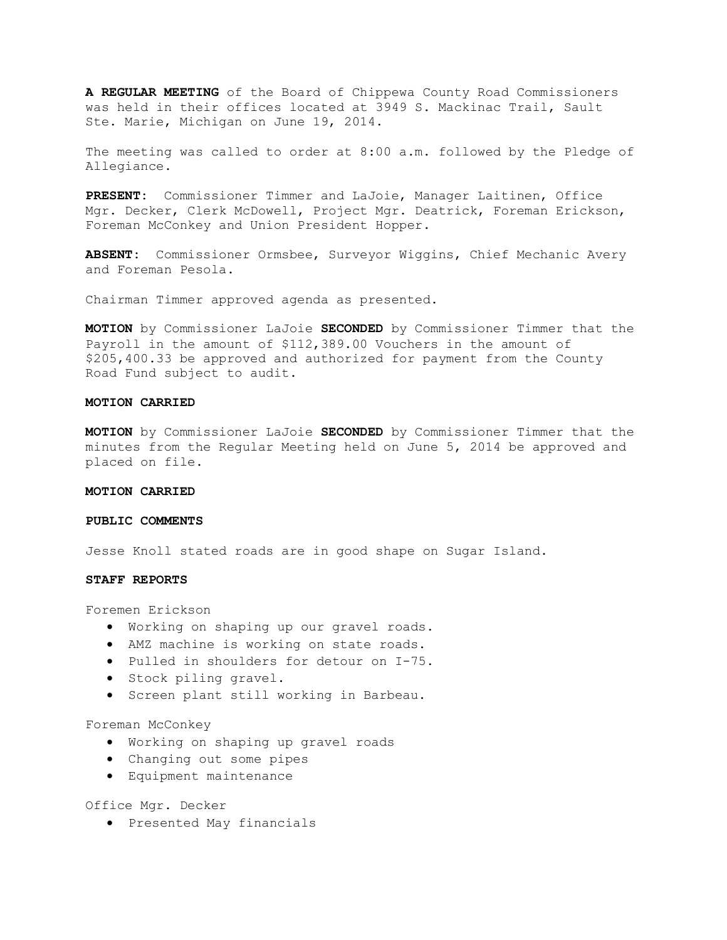**A REGULAR MEETING** of the Board of Chippewa County Road Commissioners was held in their offices located at 3949 S. Mackinac Trail, Sault Ste. Marie, Michigan on June 19, 2014.

The meeting was called to order at 8:00 a.m. followed by the Pledge of Allegiance.

**PRESENT:** Commissioner Timmer and LaJoie, Manager Laitinen, Office Mgr. Decker, Clerk McDowell, Project Mgr. Deatrick, Foreman Erickson, Foreman McConkey and Union President Hopper.

**ABSENT:** Commissioner Ormsbee, Surveyor Wiggins, Chief Mechanic Avery and Foreman Pesola.

Chairman Timmer approved agenda as presented.

**MOTION** by Commissioner LaJoie **SECONDED** by Commissioner Timmer that the Payroll in the amount of \$112,389.00 Vouchers in the amount of \$205,400.33 be approved and authorized for payment from the County Road Fund subject to audit.

## **MOTION CARRIED**

**MOTION** by Commissioner LaJoie **SECONDED** by Commissioner Timmer that the minutes from the Regular Meeting held on June 5, 2014 be approved and placed on file.

#### **MOTION CARRIED**

### **PUBLIC COMMENTS**

Jesse Knoll stated roads are in good shape on Sugar Island.

#### **STAFF REPORTS**

Foremen Erickson

- · Working on shaping up our gravel roads.
- · AMZ machine is working on state roads.
- · Pulled in shoulders for detour on I-75.
- · Stock piling gravel.
- · Screen plant still working in Barbeau.

### Foreman McConkey

- · Working on shaping up gravel roads
- · Changing out some pipes
- · Equipment maintenance

Office Mgr. Decker

· Presented May financials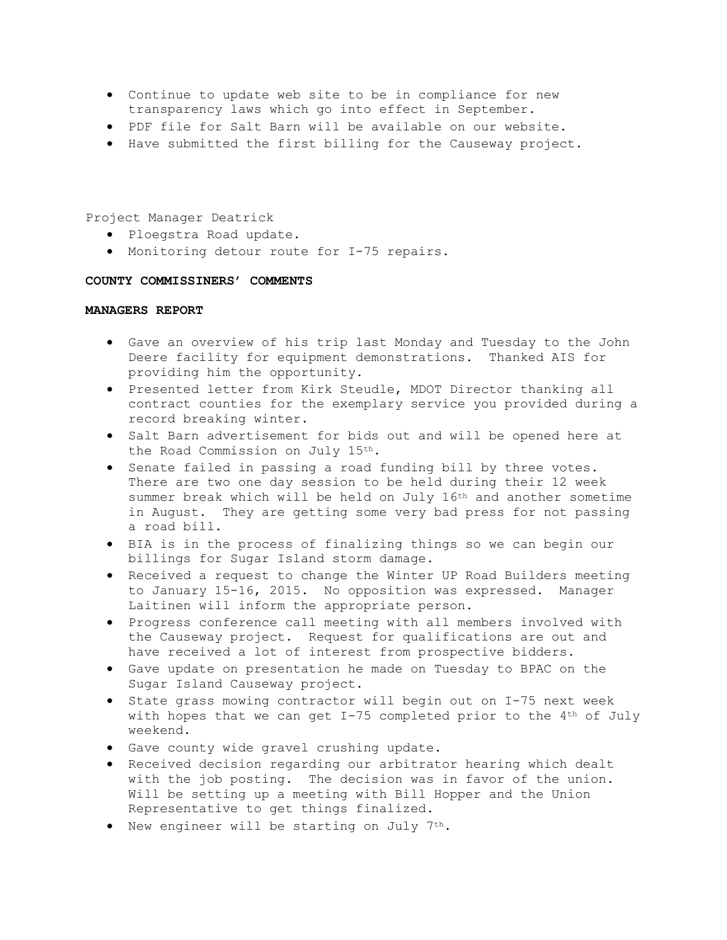- · Continue to update web site to be in compliance for new transparency laws which go into effect in September.
- · PDF file for Salt Barn will be available on our website.
- · Have submitted the first billing for the Causeway project.

Project Manager Deatrick

- · Ploegstra Road update.
- · Monitoring detour route for I-75 repairs.

## **COUNTY COMMISSINERS' COMMENTS**

### **MANAGERS REPORT**

- · Gave an overview of his trip last Monday and Tuesday to the John Deere facility for equipment demonstrations. Thanked AIS for providing him the opportunity.
- · Presented letter from Kirk Steudle, MDOT Director thanking all contract counties for the exemplary service you provided during a record breaking winter.
- · Salt Barn advertisement for bids out and will be opened here at the Road Commission on July 15th.
- · Senate failed in passing a road funding bill by three votes. There are two one day session to be held during their 12 week summer break which will be held on July 16th and another sometime in August. They are getting some very bad press for not passing a road bill.
- · BIA is in the process of finalizing things so we can begin our billings for Sugar Island storm damage.
- · Received a request to change the Winter UP Road Builders meeting to January 15-16, 2015. No opposition was expressed. Manager Laitinen will inform the appropriate person.
- · Progress conference call meeting with all members involved with the Causeway project. Request for qualifications are out and have received a lot of interest from prospective bidders.
- · Gave update on presentation he made on Tuesday to BPAC on the Sugar Island Causeway project.
- · State grass mowing contractor will begin out on I-75 next week with hopes that we can get I-75 completed prior to the 4<sup>th</sup> of July weekend.
- · Gave county wide gravel crushing update.
- · Received decision regarding our arbitrator hearing which dealt with the job posting. The decision was in favor of the union. Will be setting up a meeting with Bill Hopper and the Union Representative to get things finalized.
- · New engineer will be starting on July 7th.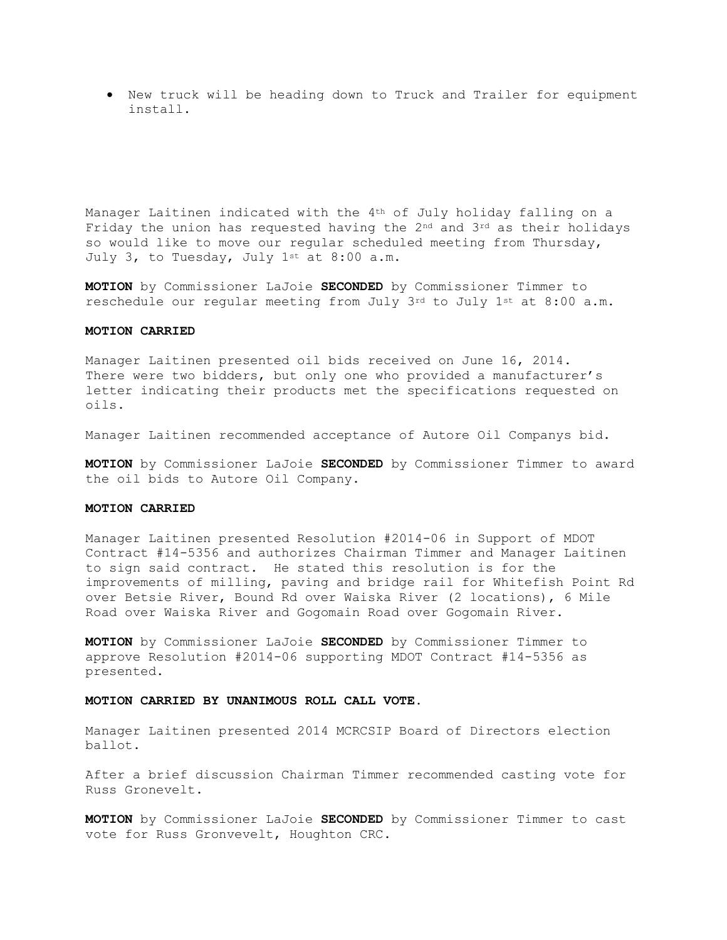· New truck will be heading down to Truck and Trailer for equipment install.

Manager Laitinen indicated with the 4<sup>th</sup> of July holiday falling on a Friday the union has requested having the  $2^{nd}$  and  $3^{rd}$  as their holidays so would like to move our regular scheduled meeting from Thursday, July 3, to Tuesday, July 1st at 8:00 a.m.

**MOTION** by Commissioner LaJoie **SECONDED** by Commissioner Timmer to reschedule our regular meeting from July 3rd to July 1st at 8:00 a.m.

## **MOTION CARRIED**

Manager Laitinen presented oil bids received on June 16, 2014. There were two bidders, but only one who provided a manufacturer's letter indicating their products met the specifications requested on oils.

Manager Laitinen recommended acceptance of Autore Oil Companys bid.

**MOTION** by Commissioner LaJoie **SECONDED** by Commissioner Timmer to award the oil bids to Autore Oil Company.

## **MOTION CARRIED**

Manager Laitinen presented Resolution #2014-06 in Support of MDOT Contract #14-5356 and authorizes Chairman Timmer and Manager Laitinen to sign said contract. He stated this resolution is for the improvements of milling, paving and bridge rail for Whitefish Point Rd over Betsie River, Bound Rd over Waiska River (2 locations), 6 Mile Road over Waiska River and Gogomain Road over Gogomain River.

**MOTION** by Commissioner LaJoie **SECONDED** by Commissioner Timmer to approve Resolution #2014-06 supporting MDOT Contract #14-5356 as presented.

### **MOTION CARRIED BY UNANIMOUS ROLL CALL VOTE**.

Manager Laitinen presented 2014 MCRCSIP Board of Directors election ballot.

After a brief discussion Chairman Timmer recommended casting vote for Russ Gronevelt.

**MOTION** by Commissioner LaJoie **SECONDED** by Commissioner Timmer to cast vote for Russ Gronvevelt, Houghton CRC.